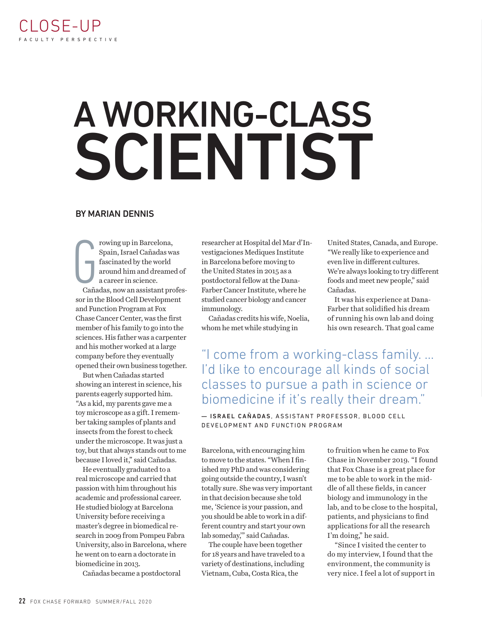## A WORKING-CLASS SCIENTIST

## BY MARIAN DENNIS

G<br>Gaña rowing up in Barcelona, Spain, Israel Cañadas was fascinated by the world around him and dreamed of a career in science.

Cañadas, now an assistant professor in the Blood Cell Development and Function Program at Fox Chase Cancer Center, was the first member of his family to go into the sciences. His father was a carpenter and his mother worked at a large company before they eventually opened their own business together.

But when Cañadas started showing an interest in science, his parents eagerly supported him. "As a kid, my parents gave me a toy microscope as a gift. I remember taking samples of plants and insects from the forest to check under the microscope. It was just a toy, but that always stands out to me because I loved it," said Cañadas.

He eventually graduated to a real microscope and carried that passion with him throughout his academic and professional career. He studied biology at Barcelona University before receiving a master's degree in biomedical research in 2009 from Pompeu Fabra University, also in Barcelona, where he went on to earn a doctorate in biomedicine in 2013.

Cañadas became a postdoctoral

researcher at Hospital del Mar d'Investigaciones Mediques Institute in Barcelona before moving to the United States in 2015 as a postdoctoral fellow at the Dana-Farber Cancer Institute, where he studied cancer biology and cancer immunology.

Cañadas credits his wife, Noelia, whom he met while studying in

United States, Canada, and Europe. "We really like to experience and even live in different cultures. We're always looking to try different foods and meet new people," said Cañadas.

It was his experience at Dana-Farber that solidified his dream of running his own lab and doing his own research. That goal came

"I come from a working-class family. … I'd like to encourage all kinds of social classes to pursue a path in science or biomedicine if it's really their dream."

— ISRAEL CAÑADAS, ASSISTANT PROFESSOR, BLOOD CELL DEVELOPMENT AND FUNCTION PROGRAM

Barcelona, with encouraging him to move to the states. "When I finished my PhD and was considering going outside the country, I wasn't totally sure. She was very important in that decision because she told me, 'Science is your passion, and you should be able to work in a different country and start your own lab someday,'" said Cañadas.

The couple have been together for 18 years and have traveled to a variety of destinations, including Vietnam, Cuba, Costa Rica, the

to fruition when he came to Fox Chase in November 2019. "I found that Fox Chase is a great place for me to be able to work in the middle of all these fields, in cancer biology and immunology in the lab, and to be close to the hospital, patients, and physicians to find applications for all the research I'm doing," he said.

"Since I visited the center to do my interview, I found that the environment, the community is very nice. I feel a lot of support in